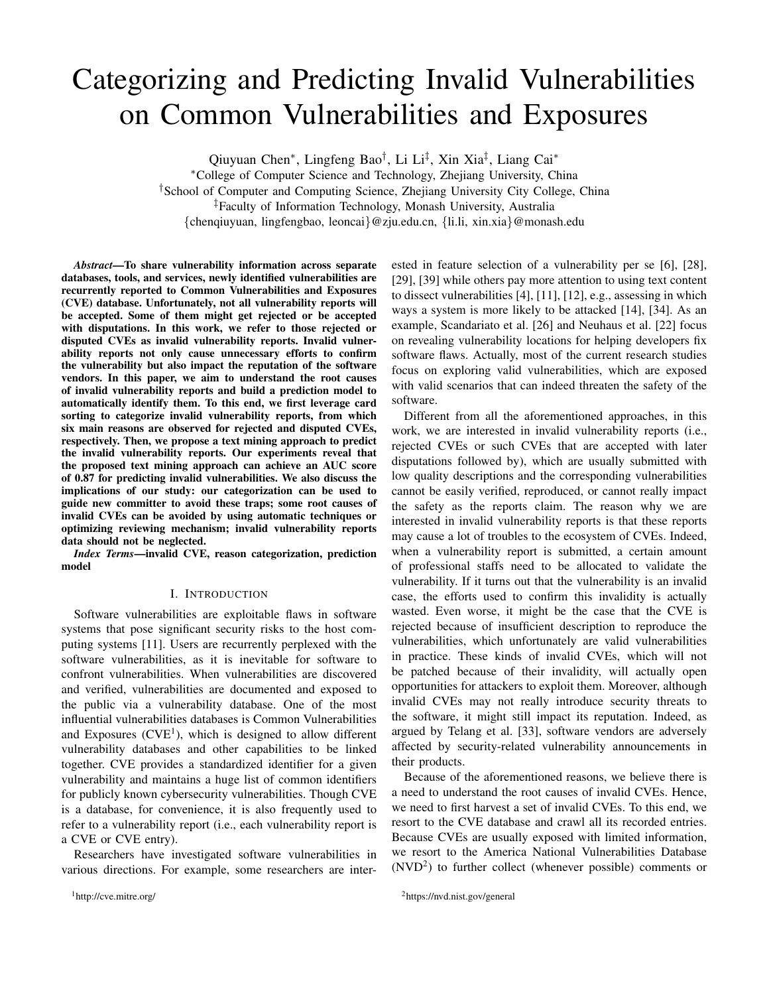# Categorizing and Predicting Invalid Vulnerabilities on Common Vulnerabilities and Exposures

Qiuyuan Chen<sup>∗</sup>, Lingfeng Bao<sup>†</sup>, Li Li<sup>‡</sup>, Xin Xia<sup>‡</sup>, Liang Cai<sup>∗</sup>

<sup>∗</sup>College of Computer Science and Technology, Zhejiang University, China

†School of Computer and Computing Science, Zhejiang University City College, China

‡Faculty of Information Technology, Monash University, Australia

{chenqiuyuan, lingfengbao, leoncai}@zju.edu.cn, {li.li, xin.xia}@monash.edu

*Abstract*—To share vulnerability information across separate databases, tools, and services, newly identified vulnerabilities are recurrently reported to Common Vulnerabilities and Exposures (CVE) database. Unfortunately, not all vulnerability reports will be accepted. Some of them might get rejected or be accepted with disputations. In this work, we refer to those rejected or disputed CVEs as invalid vulnerability reports. Invalid vulnerability reports not only cause unnecessary efforts to confirm the vulnerability but also impact the reputation of the software vendors. In this paper, we aim to understand the root causes of invalid vulnerability reports and build a prediction model to automatically identify them. To this end, we first leverage card sorting to categorize invalid vulnerability reports, from which six main reasons are observed for rejected and disputed CVEs, respectively. Then, we propose a text mining approach to predict the invalid vulnerability reports. Our experiments reveal that the proposed text mining approach can achieve an AUC score of 0.87 for predicting invalid vulnerabilities. We also discuss the implications of our study: our categorization can be used to guide new committer to avoid these traps; some root causes of invalid CVEs can be avoided by using automatic techniques or optimizing reviewing mechanism; invalid vulnerability reports data should not be neglected.

*Index Terms*—invalid CVE, reason categorization, prediction model

#### I. INTRODUCTION

Software vulnerabilities are exploitable flaws in software systems that pose significant security risks to the host computing systems [11]. Users are recurrently perplexed with the software vulnerabilities, as it is inevitable for software to confront vulnerabilities. When vulnerabilities are discovered and verified, vulnerabilities are documented and exposed to the public via a vulnerability database. One of the most influential vulnerabilities databases is Common Vulnerabilities and Exposures  $(CVE<sup>1</sup>)$ , which is designed to allow different vulnerability databases and other capabilities to be linked together. CVE provides a standardized identifier for a given vulnerability and maintains a huge list of common identifiers for publicly known cybersecurity vulnerabilities. Though CVE is a database, for convenience, it is also frequently used to refer to a vulnerability report (i.e., each vulnerability report is a CVE or CVE entry).

Researchers have investigated software vulnerabilities in various directions. For example, some researchers are inter-

<sup>1</sup>http://cve.mitre.org/

ested in feature selection of a vulnerability per se [6], [28], [29], [39] while others pay more attention to using text content to dissect vulnerabilities [4], [11], [12], e.g., assessing in which ways a system is more likely to be attacked [14], [34]. As an example, Scandariato et al. [26] and Neuhaus et al. [22] focus on revealing vulnerability locations for helping developers fix software flaws. Actually, most of the current research studies focus on exploring valid vulnerabilities, which are exposed with valid scenarios that can indeed threaten the safety of the software.

Different from all the aforementioned approaches, in this work, we are interested in invalid vulnerability reports (i.e., rejected CVEs or such CVEs that are accepted with later disputations followed by), which are usually submitted with low quality descriptions and the corresponding vulnerabilities cannot be easily verified, reproduced, or cannot really impact the safety as the reports claim. The reason why we are interested in invalid vulnerability reports is that these reports may cause a lot of troubles to the ecosystem of CVEs. Indeed, when a vulnerability report is submitted, a certain amount of professional staffs need to be allocated to validate the vulnerability. If it turns out that the vulnerability is an invalid case, the efforts used to confirm this invalidity is actually wasted. Even worse, it might be the case that the CVE is rejected because of insufficient description to reproduce the vulnerabilities, which unfortunately are valid vulnerabilities in practice. These kinds of invalid CVEs, which will not be patched because of their invalidity, will actually open opportunities for attackers to exploit them. Moreover, although invalid CVEs may not really introduce security threats to the software, it might still impact its reputation. Indeed, as argued by Telang et al. [33], software vendors are adversely affected by security-related vulnerability announcements in their products.

Because of the aforementioned reasons, we believe there is a need to understand the root causes of invalid CVEs. Hence, we need to first harvest a set of invalid CVEs. To this end, we resort to the CVE database and crawl all its recorded entries. Because CVEs are usually exposed with limited information, we resort to the America National Vulnerabilities Database  $(NUD<sup>2</sup>)$  to further collect (whenever possible) comments or

<sup>2</sup>https://nvd.nist.gov/general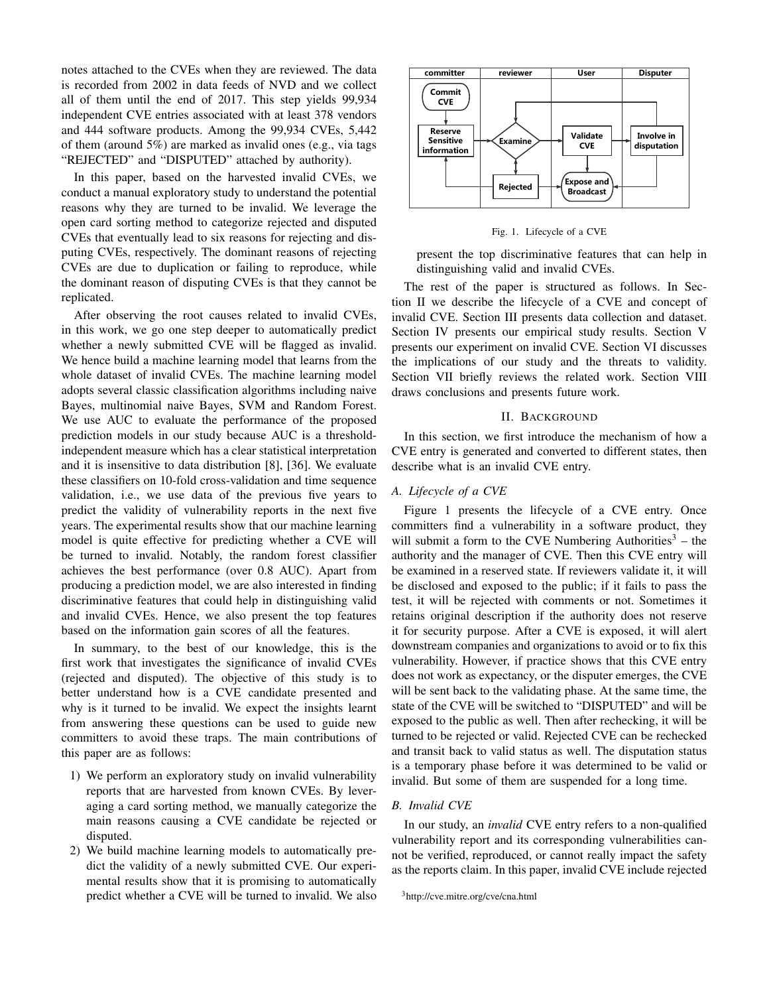notes attached to the CVEs when they are reviewed. The data is recorded from 2002 in data feeds of NVD and we collect all of them until the end of 2017. This step yields 99,934 independent CVE entries associated with at least 378 vendors and 444 software products. Among the 99,934 CVEs, 5,442 of them (around 5%) are marked as invalid ones (e.g., via tags "REJECTED" and "DISPUTED" attached by authority).

In this paper, based on the harvested invalid CVEs, we conduct a manual exploratory study to understand the potential reasons why they are turned to be invalid. We leverage the open card sorting method to categorize rejected and disputed CVEs that eventually lead to six reasons for rejecting and disputing CVEs, respectively. The dominant reasons of rejecting CVEs are due to duplication or failing to reproduce, while the dominant reason of disputing CVEs is that they cannot be replicated.

After observing the root causes related to invalid CVEs, in this work, we go one step deeper to automatically predict whether a newly submitted CVE will be flagged as invalid. We hence build a machine learning model that learns from the whole dataset of invalid CVEs. The machine learning model adopts several classic classification algorithms including naive Bayes, multinomial naive Bayes, SVM and Random Forest. We use AUC to evaluate the performance of the proposed prediction models in our study because AUC is a thresholdindependent measure which has a clear statistical interpretation and it is insensitive to data distribution [8], [36]. We evaluate these classifiers on 10-fold cross-validation and time sequence validation, i.e., we use data of the previous five years to predict the validity of vulnerability reports in the next five years. The experimental results show that our machine learning model is quite effective for predicting whether a CVE will be turned to invalid. Notably, the random forest classifier achieves the best performance (over 0.8 AUC). Apart from producing a prediction model, we are also interested in finding discriminative features that could help in distinguishing valid and invalid CVEs. Hence, we also present the top features based on the information gain scores of all the features.

In summary, to the best of our knowledge, this is the first work that investigates the significance of invalid CVEs (rejected and disputed). The objective of this study is to better understand how is a CVE candidate presented and why is it turned to be invalid. We expect the insights learnt from answering these questions can be used to guide new committers to avoid these traps. The main contributions of this paper are as follows:

- 1) We perform an exploratory study on invalid vulnerability reports that are harvested from known CVEs. By leveraging a card sorting method, we manually categorize the main reasons causing a CVE candidate be rejected or disputed.
- 2) We build machine learning models to automatically predict the validity of a newly submitted CVE. Our experimental results show that it is promising to automatically predict whether a CVE will be turned to invalid. We also



Fig. 1. Lifecycle of a CVE

present the top discriminative features that can help in distinguishing valid and invalid CVEs.

The rest of the paper is structured as follows. In Section II we describe the lifecycle of a CVE and concept of invalid CVE. Section III presents data collection and dataset. Section IV presents our empirical study results. Section V presents our experiment on invalid CVE. Section VI discusses the implications of our study and the threats to validity. Section VII briefly reviews the related work. Section VIII draws conclusions and presents future work.

#### II. BACKGROUND

In this section, we first introduce the mechanism of how a CVE entry is generated and converted to different states, then describe what is an invalid CVE entry.

### *A. Lifecycle of a CVE*

Figure 1 presents the lifecycle of a CVE entry. Once committers find a vulnerability in a software product, they will submit a form to the CVE Numbering Authorities<sup>3</sup> – the authority and the manager of CVE. Then this CVE entry will be examined in a reserved state. If reviewers validate it, it will be disclosed and exposed to the public; if it fails to pass the test, it will be rejected with comments or not. Sometimes it retains original description if the authority does not reserve it for security purpose. After a CVE is exposed, it will alert downstream companies and organizations to avoid or to fix this vulnerability. However, if practice shows that this CVE entry does not work as expectancy, or the disputer emerges, the CVE will be sent back to the validating phase. At the same time, the state of the CVE will be switched to "DISPUTED" and will be exposed to the public as well. Then after rechecking, it will be turned to be rejected or valid. Rejected CVE can be rechecked and transit back to valid status as well. The disputation status is a temporary phase before it was determined to be valid or invalid. But some of them are suspended for a long time.

#### *B. Invalid CVE*

In our study, an *invalid* CVE entry refers to a non-qualified vulnerability report and its corresponding vulnerabilities cannot be verified, reproduced, or cannot really impact the safety as the reports claim. In this paper, invalid CVE include rejected

<sup>3</sup>http://cve.mitre.org/cve/cna.html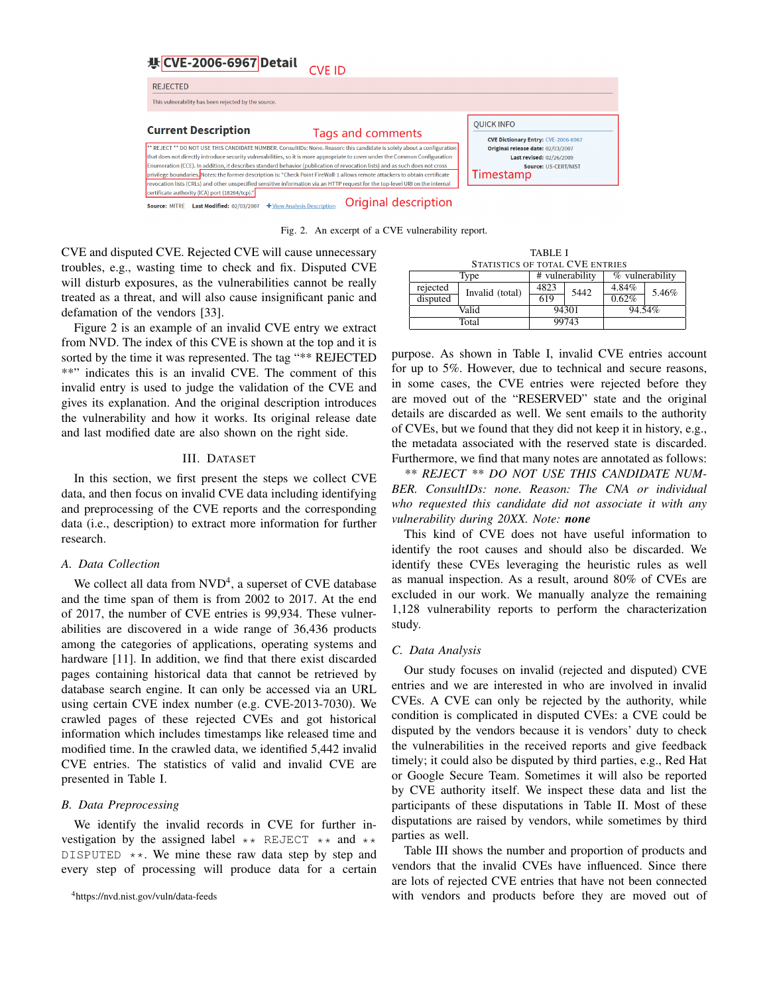

Fig. 2. An excerpt of a CVE vulnerability report.

CVE and disputed CVE. Rejected CVE will cause unnecessary troubles, e.g., wasting time to check and fix. Disputed CVE will disturb exposures, as the vulnerabilities cannot be really treated as a threat, and will also cause insignificant panic and defamation of the vendors [33].

Figure 2 is an example of an invalid CVE entry we extract from NVD. The index of this CVE is shown at the top and it is sorted by the time it was represented. The tag "\*\* REJECTED \*\*" indicates this is an invalid CVE. The comment of this invalid entry is used to judge the validation of the CVE and gives its explanation. And the original description introduces the vulnerability and how it works. Its original release date and last modified date are also shown on the right side.

#### III. DATASET

In this section, we first present the steps we collect CVE data, and then focus on invalid CVE data including identifying and preprocessing of the CVE reports and the corresponding data (i.e., description) to extract more information for further research.

## *A. Data Collection*

We collect all data from  $\text{NVD}^4$ , a superset of CVE database and the time span of them is from 2002 to 2017. At the end of 2017, the number of CVE entries is 99,934. These vulnerabilities are discovered in a wide range of 36,436 products among the categories of applications, operating systems and hardware [11]. In addition, we find that there exist discarded pages containing historical data that cannot be retrieved by database search engine. It can only be accessed via an URL using certain CVE index number (e.g. CVE-2013-7030). We crawled pages of these rejected CVEs and got historical information which includes timestamps like released time and modified time. In the crawled data, we identified 5,442 invalid CVE entries. The statistics of valid and invalid CVE are presented in Table I.

#### *B. Data Preprocessing*

We identify the invalid records in CVE for further investigation by the assigned label  $\star\star$  REJECT  $\star\star$  and  $\star\star$ DISPUTED  $**$ . We mine these raw data step by step and every step of processing will produce data for a certain

| TABLE I<br>STATISTICS OF TOTAL CVE ENTRIES |                                            |       |      |                   |       |  |
|--------------------------------------------|--------------------------------------------|-------|------|-------------------|-------|--|
|                                            | # vulnerability<br>% vulnerability<br>Type |       |      |                   |       |  |
| rejected                                   | Invalid (total)                            | 4823  | 5442 | 4.84%<br>$0.62\%$ | 5.46% |  |
| disputed                                   |                                            | 619   |      |                   |       |  |
| Valid                                      |                                            | 94301 |      | 94.54%            |       |  |
| Total                                      |                                            | 99743 |      |                   |       |  |

purpose. As shown in Table I, invalid CVE entries account for up to 5%. However, due to technical and secure reasons, in some cases, the CVE entries were rejected before they are moved out of the "RESERVED" state and the original details are discarded as well. We sent emails to the authority of CVEs, but we found that they did not keep it in history, e.g., the metadata associated with the reserved state is discarded. Furthermore, we find that many notes are annotated as follows:

*\*\* REJECT \*\* DO NOT USE THIS CANDIDATE NUM-BER. ConsultIDs: none. Reason: The CNA or individual who requested this candidate did not associate it with any vulnerability during 20XX. Note: none*

This kind of CVE does not have useful information to identify the root causes and should also be discarded. We identify these CVEs leveraging the heuristic rules as well as manual inspection. As a result, around 80% of CVEs are excluded in our work. We manually analyze the remaining 1,128 vulnerability reports to perform the characterization study.

### *C. Data Analysis*

Our study focuses on invalid (rejected and disputed) CVE entries and we are interested in who are involved in invalid CVEs. A CVE can only be rejected by the authority, while condition is complicated in disputed CVEs: a CVE could be disputed by the vendors because it is vendors' duty to check the vulnerabilities in the received reports and give feedback timely; it could also be disputed by third parties, e.g., Red Hat or Google Secure Team. Sometimes it will also be reported by CVE authority itself. We inspect these data and list the participants of these disputations in Table II. Most of these disputations are raised by vendors, while sometimes by third parties as well.

Table III shows the number and proportion of products and vendors that the invalid CVEs have influenced. Since there are lots of rejected CVE entries that have not been connected with vendors and products before they are moved out of

<sup>4</sup>https://nvd.nist.gov/vuln/data-feeds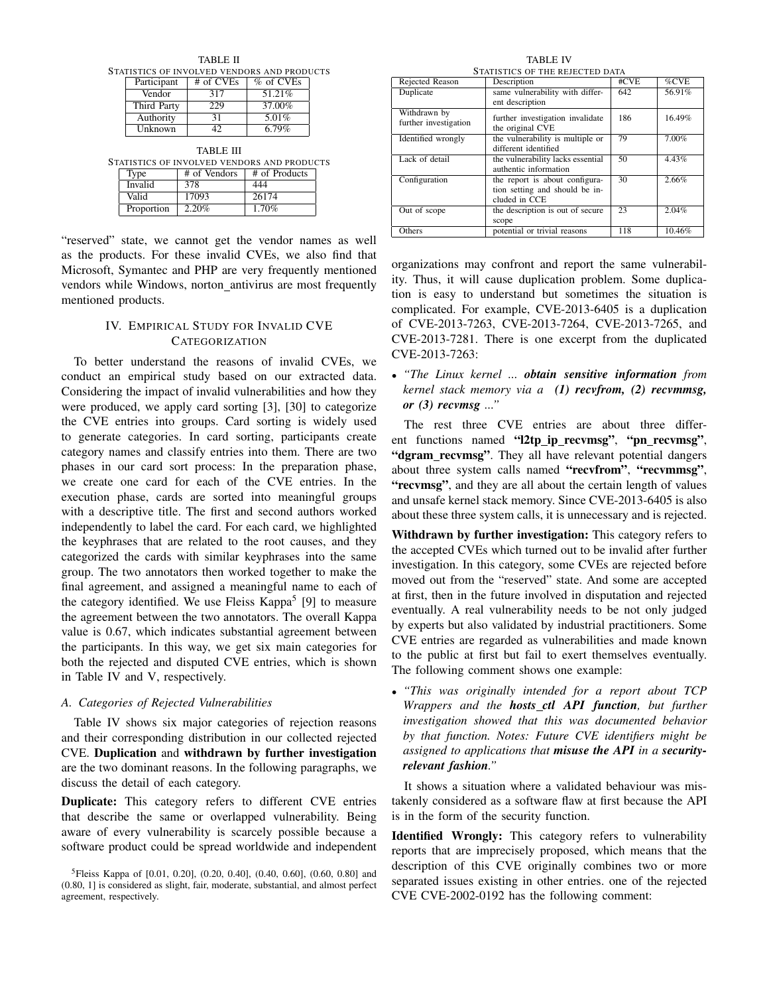| <b>TABLE II</b>                             |                       |  |              |                                             |  |  |  |
|---------------------------------------------|-----------------------|--|--------------|---------------------------------------------|--|--|--|
| STATISTICS OF INVOLVED VENDORS AND PRODUCTS |                       |  |              |                                             |  |  |  |
|                                             | Participant           |  | # of CVEs    | % of CVEs                                   |  |  |  |
|                                             | Vendor                |  | 317          | 51.21%                                      |  |  |  |
|                                             | Third Party           |  | 229          | 37.00%                                      |  |  |  |
|                                             | Authority             |  | 31           | 5.01%                                       |  |  |  |
|                                             | Unknown               |  | 42           | 6.79%                                       |  |  |  |
| TABLE III                                   |                       |  |              |                                             |  |  |  |
|                                             |                       |  |              | STATISTICS OF INVOLVED VENDORS AND PRODUCTS |  |  |  |
| Type                                        |                       |  | # of Vendors | # of Products                               |  |  |  |
|                                             | <b>Invalid</b><br>378 |  | 444          |                                             |  |  |  |
|                                             | 17093<br>Valid        |  |              | 26174                                       |  |  |  |
|                                             | Proportion            |  | 2.20%        | 1.70%                                       |  |  |  |

"reserved" state, we cannot get the vendor names as well as the products. For these invalid CVEs, we also find that Microsoft, Symantec and PHP are very frequently mentioned vendors while Windows, norton antivirus are most frequently mentioned products.

# IV. EMPIRICAL STUDY FOR INVALID CVE **CATEGORIZATION**

To better understand the reasons of invalid CVEs, we conduct an empirical study based on our extracted data. Considering the impact of invalid vulnerabilities and how they were produced, we apply card sorting [3], [30] to categorize the CVE entries into groups. Card sorting is widely used to generate categories. In card sorting, participants create category names and classify entries into them. There are two phases in our card sort process: In the preparation phase, we create one card for each of the CVE entries. In the execution phase, cards are sorted into meaningful groups with a descriptive title. The first and second authors worked independently to label the card. For each card, we highlighted the keyphrases that are related to the root causes, and they categorized the cards with similar keyphrases into the same group. The two annotators then worked together to make the final agreement, and assigned a meaningful name to each of the category identified. We use Fleiss Kappa<sup>5</sup> [9] to measure the agreement between the two annotators. The overall Kappa value is 0.67, which indicates substantial agreement between the participants. In this way, we get six main categories for both the rejected and disputed CVE entries, which is shown in Table IV and V, respectively.

## *A. Categories of Rejected Vulnerabilities*

Table IV shows six major categories of rejection reasons and their corresponding distribution in our collected rejected CVE. Duplication and withdrawn by further investigation are the two dominant reasons. In the following paragraphs, we discuss the detail of each category.

Duplicate: This category refers to different CVE entries that describe the same or overlapped vulnerability. Being aware of every vulnerability is scarcely possible because a software product could be spread worldwide and independent

TABLE IV STATISTICS OF THE REJECTED DATA

| Rejected Reason       | Description                       | #CVE | %CVE   |  |  |
|-----------------------|-----------------------------------|------|--------|--|--|
| Duplicate             | same vulnerability with differ-   | 642  | 56.91% |  |  |
|                       | ent description                   |      |        |  |  |
| Withdrawn by          | further investigation invalidate  | 186  | 16.49% |  |  |
| further investigation | the original CVE                  |      |        |  |  |
| Identified wrongly    | the vulnerability is multiple or  | 79   | 7.00%  |  |  |
|                       | different identified              |      |        |  |  |
| Lack of detail        | the vulnerability lacks essential | 50   | 4.43%  |  |  |
|                       | authentic information             |      |        |  |  |
| Configuration         | the report is about configura-    | 30   | 2.66%  |  |  |
|                       | tion setting and should be in-    |      |        |  |  |
|                       | cluded in CCE                     |      |        |  |  |
| Out of scope          | the description is out of secure  | 23   | 2.04%  |  |  |
|                       | scope                             |      |        |  |  |
| Others                | potential or trivial reasons      | 118  | 10.46% |  |  |

organizations may confront and report the same vulnerability. Thus, it will cause duplication problem. Some duplication is easy to understand but sometimes the situation is complicated. For example, CVE-2013-6405 is a duplication of CVE-2013-7263, CVE-2013-7264, CVE-2013-7265, and CVE-2013-7281. There is one excerpt from the duplicated CVE-2013-7263:

• *"The Linux kernel ... obtain sensitive information from kernel stack memory via a (1) recvfrom, (2) recvmmsg, or (3) recvmsg ..."*

The rest three CVE entries are about three different functions named "l2tp\_ip\_recvmsg", "pn\_recvmsg", "dgram\_recvmsg". They all have relevant potential dangers about three system calls named "recvfrom", "recvmmsg", "recvmsg", and they are all about the certain length of values and unsafe kernel stack memory. Since CVE-2013-6405 is also about these three system calls, it is unnecessary and is rejected.

Withdrawn by further investigation: This category refers to the accepted CVEs which turned out to be invalid after further investigation. In this category, some CVEs are rejected before moved out from the "reserved" state. And some are accepted at first, then in the future involved in disputation and rejected eventually. A real vulnerability needs to be not only judged by experts but also validated by industrial practitioners. Some CVE entries are regarded as vulnerabilities and made known to the public at first but fail to exert themselves eventually. The following comment shows one example:

• *"This was originally intended for a report about TCP Wrappers and the hosts ctl API function, but further investigation showed that this was documented behavior by that function. Notes: Future CVE identifiers might be assigned to applications that misuse the API in a securityrelevant fashion."*

It shows a situation where a validated behaviour was mistakenly considered as a software flaw at first because the API is in the form of the security function.

Identified Wrongly: This category refers to vulnerability reports that are imprecisely proposed, which means that the description of this CVE originally combines two or more separated issues existing in other entries. one of the rejected CVE CVE-2002-0192 has the following comment:

<sup>&</sup>lt;sup>5</sup>Fleiss Kappa of [0.01, 0.20], (0.20, 0.40], (0.40, 0.60], (0.60, 0.80] and (0.80, 1] is considered as slight, fair, moderate, substantial, and almost perfect agreement, respectively.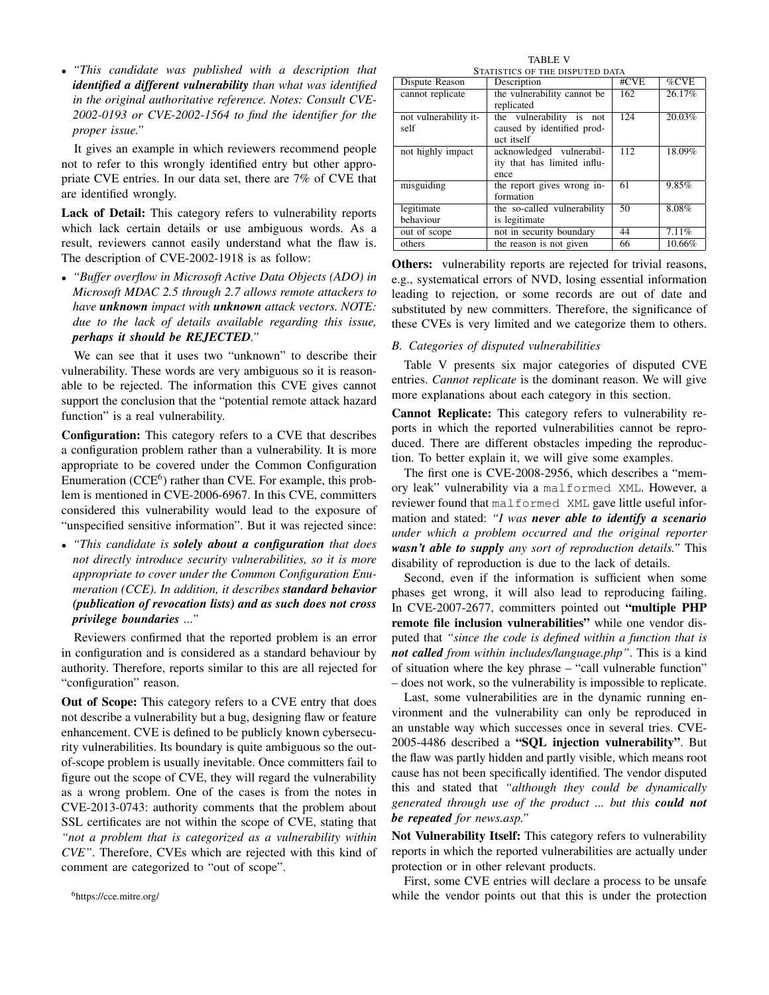• *"This candidate was published with a description that identified a different vulnerability than what was identified in the original authoritative reference. Notes: Consult CVE-2002-0193 or CVE-2002-1564 to find the identifier for the proper issue."*

It gives an example in which reviewers recommend people not to refer to this wrongly identified entry but other appropriate CVE entries. In our data set, there are 7% of CVE that are identified wrongly.

Lack of Detail: This category refers to vulnerability reports which lack certain details or use ambiguous words. As a result, reviewers cannot easily understand what the flaw is. The description of CVE-2002-1918 is as follow:

• *"Buffer overflow in Microsoft Active Data Objects (ADO) in Microsoft MDAC 2.5 through 2.7 allows remote attackers to have unknown impact with unknown attack vectors. NOTE: due to the lack of details available regarding this issue, perhaps it should be REJECTED."*

We can see that it uses two "unknown" to describe their vulnerability. These words are very ambiguous so it is reasonable to be rejected. The information this CVE gives cannot support the conclusion that the "potential remote attack hazard function" is a real vulnerability.

Configuration: This category refers to a CVE that describes a configuration problem rather than a vulnerability. It is more appropriate to be covered under the Common Configuration Enumeration (CCE<sup>6</sup>) rather than CVE. For example, this problem is mentioned in CVE-2006-6967. In this CVE, committers considered this vulnerability would lead to the exposure of "unspecified sensitive information". But it was rejected since:

• *"This candidate is solely about a configuration that does not directly introduce security vulnerabilities, so it is more appropriate to cover under the Common Configuration Enumeration (CCE). In addition, it describes standard behavior (publication of revocation lists) and as such does not cross privilege boundaries ..."*

Reviewers confirmed that the reported problem is an error in configuration and is considered as a standard behaviour by authority. Therefore, reports similar to this are all rejected for "configuration" reason.

Out of Scope: This category refers to a CVE entry that does not describe a vulnerability but a bug, designing flaw or feature enhancement. CVE is defined to be publicly known cybersecurity vulnerabilities. Its boundary is quite ambiguous so the outof-scope problem is usually inevitable. Once committers fail to figure out the scope of CVE, they will regard the vulnerability as a wrong problem. One of the cases is from the notes in CVE-2013-0743: authority comments that the problem about SSL certificates are not within the scope of CVE, stating that *"not a problem that is categorized as a vulnerability within CVE"*. Therefore, CVEs which are rejected with this kind of comment are categorized to "out of scope".

TABLE V STATISTICS OF THE DISPUTED DATA

| Dispute Reason        | 91/1191169 OF THE DISFOTED DATA<br>Description | #CVE | %CVE   |
|-----------------------|------------------------------------------------|------|--------|
|                       |                                                |      |        |
| cannot replicate      | the vulnerability cannot be                    | 162  | 26.17% |
|                       | replicated                                     |      |        |
| not vulnerability it- | the vulnerability is not                       | 124  | 20.03% |
| self                  | caused by identified prod-                     |      |        |
|                       | uct itself                                     |      |        |
| not highly impact     | acknowledged vulnerabil-                       | 112  | 18.09% |
|                       | ity that has limited influ-                    |      |        |
|                       | ence                                           |      |        |
| misguiding            | the report gives wrong in-                     | 61   | 9.85%  |
|                       | formation                                      |      |        |
| legitimate            | the so-called vulnerability                    | 50   | 8.08%  |
| behaviour             | is legitimate                                  |      |        |
| out of scope          | not in security boundary                       | 44   | 7.11%  |
| others                | the reason is not given                        | 66   | 10.66% |

**Others:** vulnerability reports are rejected for trivial reasons, e.g., systematical errors of NVD, losing essential information leading to rejection, or some records are out of date and substituted by new committers. Therefore, the significance of these CVEs is very limited and we categorize them to others.

#### *B. Categories of disputed vulnerabilities*

Table V presents six major categories of disputed CVE entries. *Cannot replicate* is the dominant reason. We will give more explanations about each category in this section.

Cannot Replicate: This category refers to vulnerability reports in which the reported vulnerabilities cannot be reproduced. There are different obstacles impeding the reproduction. To better explain it, we will give some examples.

The first one is CVE-2008-2956, which describes a "memory leak" vulnerability via a malformed XML. However, a reviewer found that malformed XML gave little useful information and stated: *"I was never able to identify a scenario under which a problem occurred and the original reporter wasn't able to supply any sort of reproduction details."* This disability of reproduction is due to the lack of details.

Second, even if the information is sufficient when some phases get wrong, it will also lead to reproducing failing. In CVE-2007-2677, committers pointed out "multiple PHP remote file inclusion vulnerabilities" while one vendor disputed that *"since the code is defined within a function that is not called from within includes/language.php"*. This is a kind of situation where the key phrase – "call vulnerable function" – does not work, so the vulnerability is impossible to replicate.

Last, some vulnerabilities are in the dynamic running environment and the vulnerability can only be reproduced in an unstable way which successes once in several tries. CVE-2005-4486 described a "SQL injection vulnerability". But the flaw was partly hidden and partly visible, which means root cause has not been specifically identified. The vendor disputed this and stated that *"although they could be dynamically generated through use of the product ... but this could not be repeated for news.asp."*

Not Vulnerability Itself: This category refers to vulnerability reports in which the reported vulnerabilities are actually under protection or in other relevant products.

First, some CVE entries will declare a process to be unsafe while the vendor points out that this is under the protection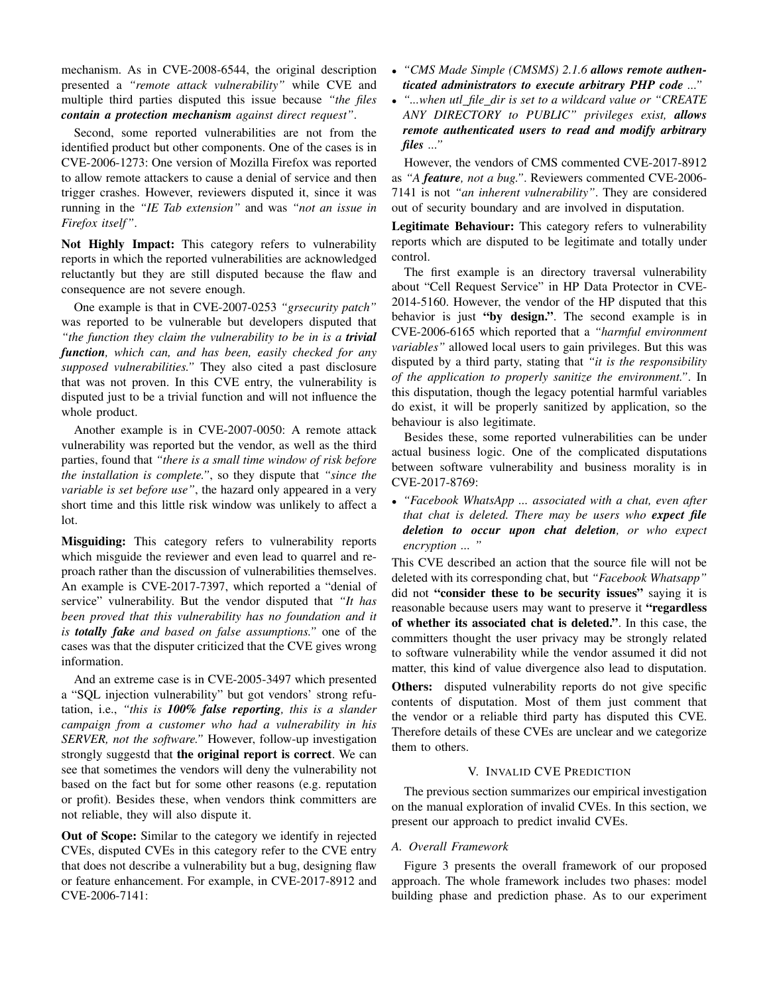mechanism. As in CVE-2008-6544, the original description presented a *"remote attack vulnerability"* while CVE and multiple third parties disputed this issue because *"the files contain a protection mechanism against direct request"*.

Second, some reported vulnerabilities are not from the identified product but other components. One of the cases is in CVE-2006-1273: One version of Mozilla Firefox was reported to allow remote attackers to cause a denial of service and then trigger crashes. However, reviewers disputed it, since it was running in the *"IE Tab extension"* and was *"not an issue in Firefox itself"*.

Not Highly Impact: This category refers to vulnerability reports in which the reported vulnerabilities are acknowledged reluctantly but they are still disputed because the flaw and consequence are not severe enough.

One example is that in CVE-2007-0253 *"grsecurity patch"* was reported to be vulnerable but developers disputed that *"the function they claim the vulnerability to be in is a trivial function, which can, and has been, easily checked for any supposed vulnerabilities."* They also cited a past disclosure that was not proven. In this CVE entry, the vulnerability is disputed just to be a trivial function and will not influence the whole product.

Another example is in CVE-2007-0050: A remote attack vulnerability was reported but the vendor, as well as the third parties, found that *"there is a small time window of risk before the installation is complete."*, so they dispute that *"since the variable is set before use"*, the hazard only appeared in a very short time and this little risk window was unlikely to affect a lot.

Misguiding: This category refers to vulnerability reports which misguide the reviewer and even lead to quarrel and reproach rather than the discussion of vulnerabilities themselves. An example is CVE-2017-7397, which reported a "denial of service" vulnerability. But the vendor disputed that *"It has been proved that this vulnerability has no foundation and it is totally fake and based on false assumptions."* one of the cases was that the disputer criticized that the CVE gives wrong information.

And an extreme case is in CVE-2005-3497 which presented a "SQL injection vulnerability" but got vendors' strong refutation, i.e., *"this is 100% false reporting, this is a slander campaign from a customer who had a vulnerability in his SERVER, not the software."* However, follow-up investigation strongly suggestd that the original report is correct. We can see that sometimes the vendors will deny the vulnerability not based on the fact but for some other reasons (e.g. reputation or profit). Besides these, when vendors think committers are not reliable, they will also dispute it.

Out of Scope: Similar to the category we identify in rejected CVEs, disputed CVEs in this category refer to the CVE entry that does not describe a vulnerability but a bug, designing flaw or feature enhancement. For example, in CVE-2017-8912 and CVE-2006-7141:

- *"CMS Made Simple (CMSMS) 2.1.6 allows remote authenticated administrators to execute arbitrary PHP code ..."*
- *"...when utl file dir is set to a wildcard value or "CREATE ANY DIRECTORY to PUBLIC" privileges exist, allows remote authenticated users to read and modify arbitrary files ..."*

However, the vendors of CMS commented CVE-2017-8912 as *"A feature, not a bug."*. Reviewers commented CVE-2006- 7141 is not *"an inherent vulnerability"*. They are considered out of security boundary and are involved in disputation.

Legitimate Behaviour: This category refers to vulnerability reports which are disputed to be legitimate and totally under control.

The first example is an directory traversal vulnerability about "Cell Request Service" in HP Data Protector in CVE-2014-5160. However, the vendor of the HP disputed that this behavior is just "by design.". The second example is in CVE-2006-6165 which reported that a *"harmful environment variables"* allowed local users to gain privileges. But this was disputed by a third party, stating that *"it is the responsibility of the application to properly sanitize the environment."*. In this disputation, though the legacy potential harmful variables do exist, it will be properly sanitized by application, so the behaviour is also legitimate.

Besides these, some reported vulnerabilities can be under actual business logic. One of the complicated disputations between software vulnerability and business morality is in CVE-2017-8769:

• *"Facebook WhatsApp ... associated with a chat, even after that chat is deleted. There may be users who expect file deletion to occur upon chat deletion, or who expect encryption ... "*

This CVE described an action that the source file will not be deleted with its corresponding chat, but *"Facebook Whatsapp"* did not "consider these to be security issues" saying it is reasonable because users may want to preserve it "regardless of whether its associated chat is deleted.". In this case, the committers thought the user privacy may be strongly related to software vulnerability while the vendor assumed it did not matter, this kind of value divergence also lead to disputation.

Others: disputed vulnerability reports do not give specific contents of disputation. Most of them just comment that the vendor or a reliable third party has disputed this CVE. Therefore details of these CVEs are unclear and we categorize them to others.

#### V. INVALID CVE PREDICTION

The previous section summarizes our empirical investigation on the manual exploration of invalid CVEs. In this section, we present our approach to predict invalid CVEs.

#### *A. Overall Framework*

Figure 3 presents the overall framework of our proposed approach. The whole framework includes two phases: model building phase and prediction phase. As to our experiment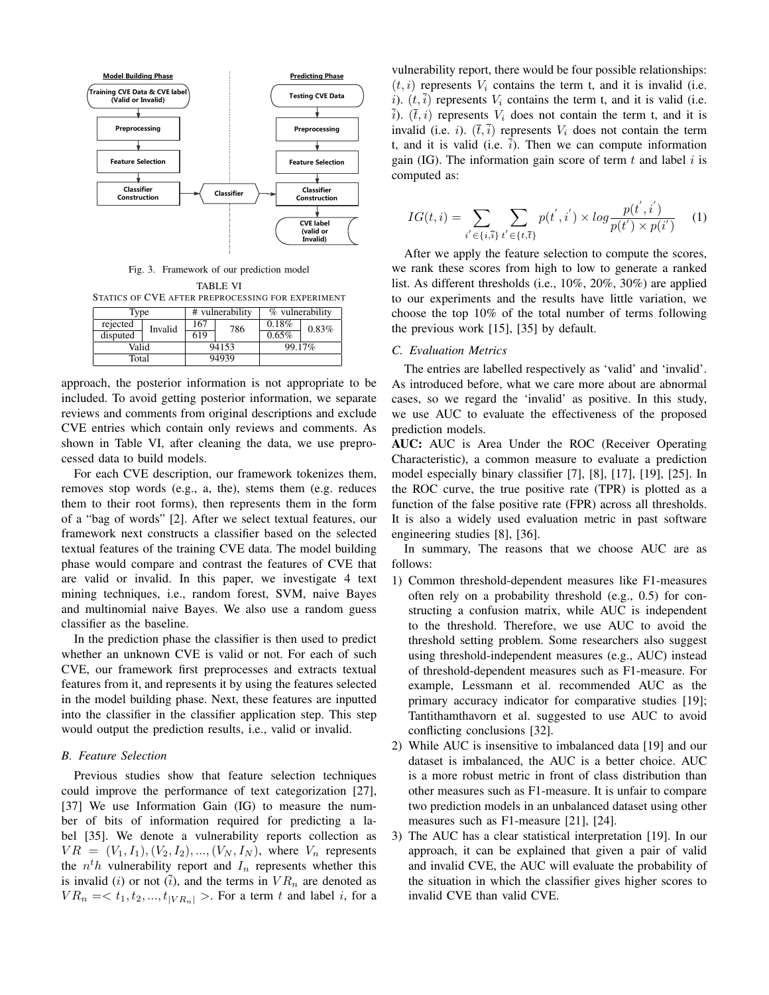

Fig. 3. Framework of our prediction model TABLE VI

STATICS OF CVE AFTER PREPROCESSING FOR EXPERIMENT

| Type     |         |       | # vulnerability | % vulnerability |       |
|----------|---------|-------|-----------------|-----------------|-------|
| rejected | Invalid | 167   | 786             | 0.18%           | 0.83% |
| disputed |         | 619   |                 | 0.65%           |       |
| Valid    |         | 94153 |                 | 99.17%          |       |
| Total    |         | 94939 |                 |                 |       |

approach, the posterior information is not appropriate to be included. To avoid getting posterior information, we separate reviews and comments from original descriptions and exclude CVE entries which contain only reviews and comments. As shown in Table VI, after cleaning the data, we use preprocessed data to build models.

For each CVE description, our framework tokenizes them, removes stop words (e.g., a, the), stems them (e.g. reduces them to their root forms), then represents them in the form of a "bag of words" [2]. After we select textual features, our framework next constructs a classifier based on the selected textual features of the training CVE data. The model building phase would compare and contrast the features of CVE that are valid or invalid. In this paper, we investigate 4 text mining techniques, i.e., random forest, SVM, naive Bayes and multinomial naive Bayes. We also use a random guess classifier as the baseline.

In the prediction phase the classifier is then used to predict whether an unknown CVE is valid or not. For each of such CVE, our framework first preprocesses and extracts textual features from it, and represents it by using the features selected in the model building phase. Next, these features are inputted into the classifier in the classifier application step. This step would output the prediction results, i.e., valid or invalid.

#### *B. Feature Selection*

Previous studies show that feature selection techniques could improve the performance of text categorization [27], [37] We use Information Gain (IG) to measure the number of bits of information required for predicting a label [35]. We denote a vulnerability reports collection as  $VR = (V_1, I_1), (V_2, I_2), ..., (V_N, I_N)$ , where  $V_n$  represents the  $n<sup>t</sup>h$  vulnerability report and  $I_n$  represents whether this is invalid (i) or not  $(\overline{i})$ , and the terms in  $VR_n$  are denoted as  $VR_n = \langle t_1, t_2, ..., t_{|VR_n|} \rangle$ . For a term t and label i, for a

vulnerability report, there would be four possible relationships:  $(t, i)$  represents  $V_i$  contains the term t, and it is invalid (i.e. i).  $(t, \overline{i})$  represents  $V_i$  contains the term t, and it is valid (i.e.  $\overline{i}$ ).  $(\overline{t}, i)$  represents  $V_i$  does not contain the term t, and it is invalid (i.e. i).  $(\bar{t},\bar{i})$  represents  $V_i$  does not contain the term t, and it is valid (i.e.  $\overline{i}$ ). Then we can compute information gain (IG). The information gain score of term  $t$  and label  $i$  is computed as:

$$
IG(t, i) = \sum_{i' \in \{i, \bar{i}\}} \sum_{t' \in \{t, \bar{t}\}} p(t', i') \times \log \frac{p(t', i')}{p(t') \times p(i')} \tag{1}
$$

After we apply the feature selection to compute the scores, we rank these scores from high to low to generate a ranked list. As different thresholds (i.e., 10%, 20%, 30%) are applied to our experiments and the results have little variation, we choose the top 10% of the total number of terms following the previous work [15], [35] by default.

## *C. Evaluation Metrics*

The entries are labelled respectively as 'valid' and 'invalid'. As introduced before, what we care more about are abnormal cases, so we regard the 'invalid' as positive. In this study, we use AUC to evaluate the effectiveness of the proposed prediction models.

AUC: AUC is Area Under the ROC (Receiver Operating Characteristic), a common measure to evaluate a prediction model especially binary classifier [7], [8], [17], [19], [25]. In the ROC curve, the true positive rate (TPR) is plotted as a function of the false positive rate (FPR) across all thresholds. It is also a widely used evaluation metric in past software engineering studies [8], [36].

In summary, The reasons that we choose AUC are as follows:

- 1) Common threshold-dependent measures like F1-measures often rely on a probability threshold (e.g., 0.5) for constructing a confusion matrix, while AUC is independent to the threshold. Therefore, we use AUC to avoid the threshold setting problem. Some researchers also suggest using threshold-independent measures (e.g., AUC) instead of threshold-dependent measures such as F1-measure. For example, Lessmann et al. recommended AUC as the primary accuracy indicator for comparative studies [19]; Tantithamthavorn et al. suggested to use AUC to avoid conflicting conclusions [32].
- 2) While AUC is insensitive to imbalanced data [19] and our dataset is imbalanced, the AUC is a better choice. AUC is a more robust metric in front of class distribution than other measures such as F1-measure. It is unfair to compare two prediction models in an unbalanced dataset using other measures such as F1-measure [21], [24].
- 3) The AUC has a clear statistical interpretation [19]. In our approach, it can be explained that given a pair of valid and invalid CVE, the AUC will evaluate the probability of the situation in which the classifier gives higher scores to invalid CVE than valid CVE.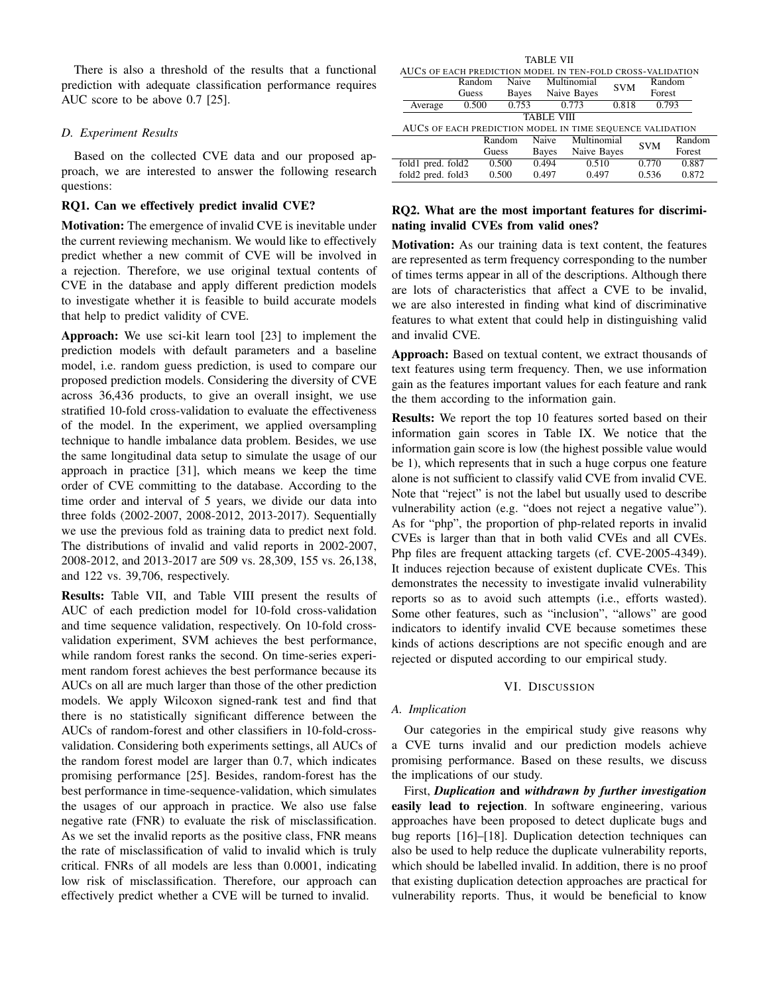There is also a threshold of the results that a functional prediction with adequate classification performance requires AUC score to be above 0.7 [25].

## *D. Experiment Results*

Based on the collected CVE data and our proposed approach, we are interested to answer the following research questions:

# RQ1. Can we effectively predict invalid CVE?

Motivation: The emergence of invalid CVE is inevitable under the current reviewing mechanism. We would like to effectively predict whether a new commit of CVE will be involved in a rejection. Therefore, we use original textual contents of CVE in the database and apply different prediction models to investigate whether it is feasible to build accurate models that help to predict validity of CVE.

Approach: We use sci-kit learn tool [23] to implement the prediction models with default parameters and a baseline model, i.e. random guess prediction, is used to compare our proposed prediction models. Considering the diversity of CVE across 36,436 products, to give an overall insight, we use stratified 10-fold cross-validation to evaluate the effectiveness of the model. In the experiment, we applied oversampling technique to handle imbalance data problem. Besides, we use the same longitudinal data setup to simulate the usage of our approach in practice [31], which means we keep the time order of CVE committing to the database. According to the time order and interval of 5 years, we divide our data into three folds (2002-2007, 2008-2012, 2013-2017). Sequentially we use the previous fold as training data to predict next fold. The distributions of invalid and valid reports in 2002-2007, 2008-2012, and 2013-2017 are 509 vs. 28,309, 155 vs. 26,138, and 122 vs. 39,706, respectively.

Results: Table VII, and Table VIII present the results of AUC of each prediction model for 10-fold cross-validation and time sequence validation, respectively. On 10-fold crossvalidation experiment, SVM achieves the best performance, while random forest ranks the second. On time-series experiment random forest achieves the best performance because its AUCs on all are much larger than those of the other prediction models. We apply Wilcoxon signed-rank test and find that there is no statistically significant difference between the AUCs of random-forest and other classifiers in 10-fold-crossvalidation. Considering both experiments settings, all AUCs of the random forest model are larger than 0.7, which indicates promising performance [25]. Besides, random-forest has the best performance in time-sequence-validation, which simulates the usages of our approach in practice. We also use false negative rate (FNR) to evaluate the risk of misclassification. As we set the invalid reports as the positive class, FNR means the rate of misclassification of valid to invalid which is truly critical. FNRs of all models are less than 0.0001, indicating low risk of misclassification. Therefore, our approach can effectively predict whether a CVE will be turned to invalid.

| TABLE VII                                                           |        |       |       |             |            |        |       |
|---------------------------------------------------------------------|--------|-------|-------|-------------|------------|--------|-------|
| AUCS OF EACH PREDICTION MODEL IN TEN-FOLD CROSS-VALIDATION          |        |       |       |             |            |        |       |
|                                                                     | Random | Naive |       | Multinomial | <b>SVM</b> | Random |       |
|                                                                     | Guess  | Bayes |       | Naive Bayes |            | Forest |       |
| Average                                                             | 0.500  | 0.753 |       | 0.773       | 0.818      | 0.793  |       |
| <b>TABLE VIII</b>                                                   |        |       |       |             |            |        |       |
| AUCS OF EACH PREDICTION MODEL IN TIME SEQUENCE VALIDATION           |        |       |       |             |            |        |       |
| <b>Naive</b><br>Multinomial<br>Random<br>Random                     |        |       |       |             |            |        |       |
| <b>SVM</b><br>Naive Bayes<br>Forest<br><b>Guess</b><br><b>Bayes</b> |        |       |       |             |            |        |       |
| fold1 pred. fold2                                                   |        | 0.500 | 0.494 | 0.510       |            | 0.770  | 0.887 |
| fold2 pred. fold3                                                   |        | 0.500 | 0.497 | 0.497       |            | 0.536  | 0.872 |

# RQ2. What are the most important features for discriminating invalid CVEs from valid ones?

Motivation: As our training data is text content, the features are represented as term frequency corresponding to the number of times terms appear in all of the descriptions. Although there are lots of characteristics that affect a CVE to be invalid, we are also interested in finding what kind of discriminative features to what extent that could help in distinguishing valid and invalid CVE.

Approach: Based on textual content, we extract thousands of text features using term frequency. Then, we use information gain as the features important values for each feature and rank the them according to the information gain.

Results: We report the top 10 features sorted based on their information gain scores in Table IX. We notice that the information gain score is low (the highest possible value would be 1), which represents that in such a huge corpus one feature alone is not sufficient to classify valid CVE from invalid CVE. Note that "reject" is not the label but usually used to describe vulnerability action (e.g. "does not reject a negative value"). As for "php", the proportion of php-related reports in invalid CVEs is larger than that in both valid CVEs and all CVEs. Php files are frequent attacking targets (cf. CVE-2005-4349). It induces rejection because of existent duplicate CVEs. This demonstrates the necessity to investigate invalid vulnerability reports so as to avoid such attempts (i.e., efforts wasted). Some other features, such as "inclusion", "allows" are good indicators to identify invalid CVE because sometimes these kinds of actions descriptions are not specific enough and are rejected or disputed according to our empirical study.

#### VI. DISCUSSION

#### *A. Implication*

Our categories in the empirical study give reasons why a CVE turns invalid and our prediction models achieve promising performance. Based on these results, we discuss the implications of our study.

First, *Duplication* and *withdrawn by further investigation* easily lead to rejection. In software engineering, various approaches have been proposed to detect duplicate bugs and bug reports [16]–[18]. Duplication detection techniques can also be used to help reduce the duplicate vulnerability reports, which should be labelled invalid. In addition, there is no proof that existing duplication detection approaches are practical for vulnerability reports. Thus, it would be beneficial to know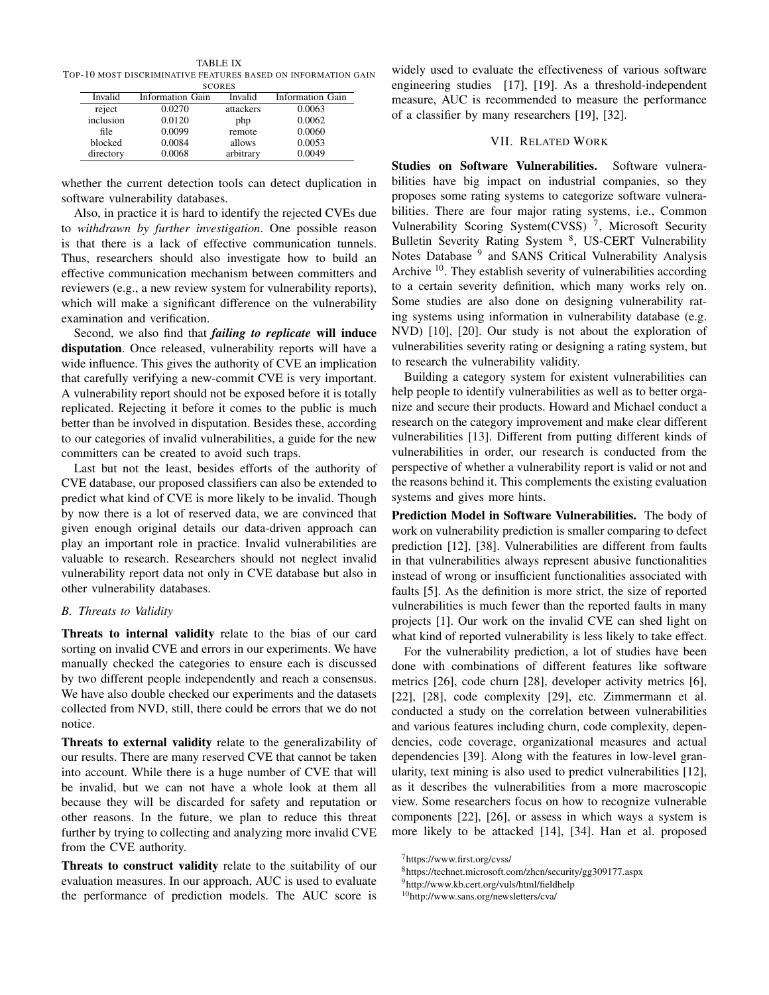TABLE IX TOP-10 MOST DISCRIMINATIVE FEATURES BASED ON INFORMATION GAIN

| <b>SCORES</b> |                  |           |                  |  |  |  |  |
|---------------|------------------|-----------|------------------|--|--|--|--|
| Invalid       | Information Gain | Invalid   | Information Gain |  |  |  |  |
| reject        | 0.0270           | attackers | 0.0063           |  |  |  |  |
| inclusion     | 0.0120           | php       | 0.0062           |  |  |  |  |
| file          | 0.0099           | remote    | 0.0060           |  |  |  |  |
| blocked       | 0.0084           | allows    | 0.0053           |  |  |  |  |
| directory     | 0.0068           | arbitrary | 0.0049           |  |  |  |  |

whether the current detection tools can detect duplication in software vulnerability databases.

Also, in practice it is hard to identify the rejected CVEs due to *withdrawn by further investigation*. One possible reason is that there is a lack of effective communication tunnels. Thus, researchers should also investigate how to build an effective communication mechanism between committers and reviewers (e.g., a new review system for vulnerability reports), which will make a significant difference on the vulnerability examination and verification.

Second, we also find that *failing to replicate* will induce disputation. Once released, vulnerability reports will have a wide influence. This gives the authority of CVE an implication that carefully verifying a new-commit CVE is very important. A vulnerability report should not be exposed before it is totally replicated. Rejecting it before it comes to the public is much better than be involved in disputation. Besides these, according to our categories of invalid vulnerabilities, a guide for the new committers can be created to avoid such traps.

Last but not the least, besides efforts of the authority of CVE database, our proposed classifiers can also be extended to predict what kind of CVE is more likely to be invalid. Though by now there is a lot of reserved data, we are convinced that given enough original details our data-driven approach can play an important role in practice. Invalid vulnerabilities are valuable to research. Researchers should not neglect invalid vulnerability report data not only in CVE database but also in other vulnerability databases.

# *B. Threats to Validity*

Threats to internal validity relate to the bias of our card sorting on invalid CVE and errors in our experiments. We have manually checked the categories to ensure each is discussed by two different people independently and reach a consensus. We have also double checked our experiments and the datasets collected from NVD, still, there could be errors that we do not notice.

Threats to external validity relate to the generalizability of our results. There are many reserved CVE that cannot be taken into account. While there is a huge number of CVE that will be invalid, but we can not have a whole look at them all because they will be discarded for safety and reputation or other reasons. In the future, we plan to reduce this threat further by trying to collecting and analyzing more invalid CVE from the CVE authority.

Threats to construct validity relate to the suitability of our evaluation measures. In our approach, AUC is used to evaluate the performance of prediction models. The AUC score is

widely used to evaluate the effectiveness of various software engineering studies [17], [19]. As a threshold-independent measure, AUC is recommended to measure the performance of a classifier by many researchers [19], [32].

#### VII. RELATED WORK

Studies on Software Vulnerabilities. Software vulnerabilities have big impact on industrial companies, so they proposes some rating systems to categorize software vulnerabilities. There are four major rating systems, i.e., Common Vulnerability Scoring System(CVSS)<sup>7</sup>, Microsoft Security Bulletin Severity Rating System<sup>8</sup>, US-CERT Vulnerability Notes Database <sup>9</sup> and SANS Critical Vulnerability Analysis Archive  $10$ . They establish severity of vulnerabilities according to a certain severity definition, which many works rely on. Some studies are also done on designing vulnerability rating systems using information in vulnerability database (e.g. NVD) [10], [20]. Our study is not about the exploration of vulnerabilities severity rating or designing a rating system, but to research the vulnerability validity.

Building a category system for existent vulnerabilities can help people to identify vulnerabilities as well as to better organize and secure their products. Howard and Michael conduct a research on the category improvement and make clear different vulnerabilities [13]. Different from putting different kinds of vulnerabilities in order, our research is conducted from the perspective of whether a vulnerability report is valid or not and the reasons behind it. This complements the existing evaluation systems and gives more hints.

Prediction Model in Software Vulnerabilities. The body of work on vulnerability prediction is smaller comparing to defect prediction [12], [38]. Vulnerabilities are different from faults in that vulnerabilities always represent abusive functionalities instead of wrong or insufficient functionalities associated with faults [5]. As the definition is more strict, the size of reported vulnerabilities is much fewer than the reported faults in many projects [1]. Our work on the invalid CVE can shed light on what kind of reported vulnerability is less likely to take effect.

For the vulnerability prediction, a lot of studies have been done with combinations of different features like software metrics [26], code churn [28], developer activity metrics [6], [22], [28], code complexity [29], etc. Zimmermann et al. conducted a study on the correlation between vulnerabilities and various features including churn, code complexity, dependencies, code coverage, organizational measures and actual dependencies [39]. Along with the features in low-level granularity, text mining is also used to predict vulnerabilities [12], as it describes the vulnerabilities from a more macroscopic view. Some researchers focus on how to recognize vulnerable components [22], [26], or assess in which ways a system is more likely to be attacked [14], [34]. Han et al. proposed

<sup>7</sup>https://www.first.org/cvss/

<sup>8</sup>https://technet.microsoft.com/zhcn/security/gg309177.aspx

<sup>9</sup>http://www.kb.cert.org/vuls/html/fieldhelp

<sup>10</sup>http://www.sans.org/newsletters/cva/